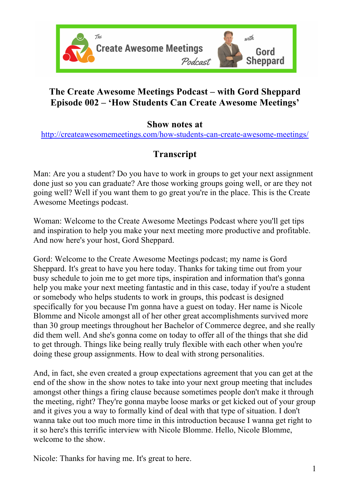

## **The Create Awesome Meetings Podcast – with Gord Sheppard Episode 002 – 'How Students Can Create Awesome Meetings'**

## **Show notes at**

http://createawesomemeetings.com/how-students-can-create-awesome-meetings/

## **Transcript**

Man: Are you a student? Do you have to work in groups to get your next assignment done just so you can graduate? Are those working groups going well, or are they not going well? Well if you want them to go great you're in the place. This is the Create Awesome Meetings podcast.

Woman: Welcome to the Create Awesome Meetings Podcast where you'll get tips and inspiration to help you make your next meeting more productive and profitable. And now here's your host, Gord Sheppard.

Gord: Welcome to the Create Awesome Meetings podcast; my name is Gord Sheppard. It's great to have you here today. Thanks for taking time out from your busy schedule to join me to get more tips, inspiration and information that's gonna help you make your next meeting fantastic and in this case, today if you're a student or somebody who helps students to work in groups, this podcast is designed specifically for you because I'm gonna have a guest on today. Her name is Nicole Blomme and Nicole amongst all of her other great accomplishments survived more than 30 group meetings throughout her Bachelor of Commerce degree, and she really did them well. And she's gonna come on today to offer all of the things that she did to get through. Things like being really truly flexible with each other when you're doing these group assignments. How to deal with strong personalities.

And, in fact, she even created a group expectations agreement that you can get at the end of the show in the show notes to take into your next group meeting that includes amongst other things a firing clause because sometimes people don't make it through the meeting, right? They're gonna maybe loose marks or get kicked out of your group and it gives you a way to formally kind of deal with that type of situation. I don't wanna take out too much more time in this introduction because I wanna get right to it so here's this terrific interview with Nicole Blomme. Hello, Nicole Blomme, welcome to the show.

Nicole: Thanks for having me. It's great to here.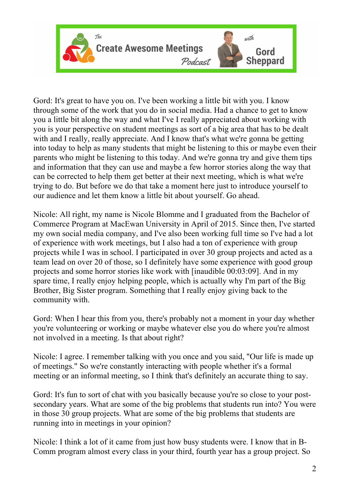

Gord: It's great to have you on. I've been working a little bit with you. I know through some of the work that you do in social media. Had a chance to get to know you a little bit along the way and what I've I really appreciated about working with you is your perspective on student meetings as sort of a big area that has to be dealt with and I really, really appreciate. And I know that's what we're gonna be getting into today to help as many students that might be listening to this or maybe even their parents who might be listening to this today. And we're gonna try and give them tips and information that they can use and maybe a few horror stories along the way that can be corrected to help them get better at their next meeting, which is what we're trying to do. But before we do that take a moment here just to introduce yourself to our audience and let them know a little bit about yourself. Go ahead.

Nicole: All right, my name is Nicole Blomme and I graduated from the Bachelor of Commerce Program at MacEwan University in April of 2015. Since then, I've started my own social media company, and I've also been working full time so I've had a lot of experience with work meetings, but I also had a ton of experience with group projects while I was in school. I participated in over 30 group projects and acted as a team lead on over 20 of those, so I definitely have some experience with good group projects and some horror stories like work with [inaudible 00:03:09]. And in my spare time, I really enjoy helping people, which is actually why I'm part of the Big Brother, Big Sister program. Something that I really enjoy giving back to the community with.

Gord: When I hear this from you, there's probably not a moment in your day whether you're volunteering or working or maybe whatever else you do where you're almost not involved in a meeting. Is that about right?

Nicole: I agree. I remember talking with you once and you said, "Our life is made up of meetings." So we're constantly interacting with people whether it's a formal meeting or an informal meeting, so I think that's definitely an accurate thing to say.

Gord: It's fun to sort of chat with you basically because you're so close to your postsecondary years. What are some of the big problems that students run into? You were in those 30 group projects. What are some of the big problems that students are running into in meetings in your opinion?

Nicole: I think a lot of it came from just how busy students were. I know that in B-Comm program almost every class in your third, fourth year has a group project. So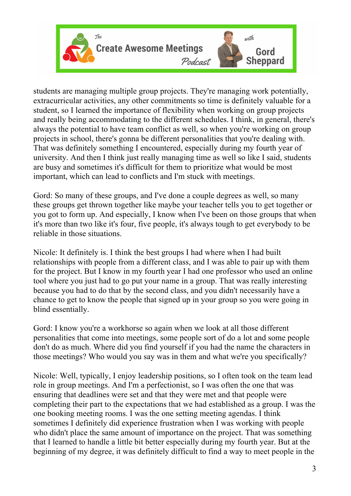

students are managing multiple group projects. They're managing work potentially, extracurricular activities, any other commitments so time is definitely valuable for a student, so I learned the importance of flexibility when working on group projects and really being accommodating to the different schedules. I think, in general, there's always the potential to have team conflict as well, so when you're working on group projects in school, there's gonna be different personalities that you're dealing with. That was definitely something I encountered, especially during my fourth year of university. And then I think just really managing time as well so like I said, students are busy and sometimes it's difficult for them to prioritize what would be most important, which can lead to conflicts and I'm stuck with meetings.

Gord: So many of these groups, and I've done a couple degrees as well, so many these groups get thrown together like maybe your teacher tells you to get together or you got to form up. And especially, I know when I've been on those groups that when it's more than two like it's four, five people, it's always tough to get everybody to be reliable in those situations.

Nicole: It definitely is. I think the best groups I had where when I had built relationships with people from a different class, and I was able to pair up with them for the project. But I know in my fourth year I had one professor who used an online tool where you just had to go put your name in a group. That was really interesting because you had to do that by the second class, and you didn't necessarily have a chance to get to know the people that signed up in your group so you were going in blind essentially.

Gord: I know you're a workhorse so again when we look at all those different personalities that come into meetings, some people sort of do a lot and some people don't do as much. Where did you find yourself if you had the name the characters in those meetings? Who would you say was in them and what we're you specifically?

Nicole: Well, typically, I enjoy leadership positions, so I often took on the team lead role in group meetings. And I'm a perfectionist, so I was often the one that was ensuring that deadlines were set and that they were met and that people were completing their part to the expectations that we had established as a group. I was the one booking meeting rooms. I was the one setting meeting agendas. I think sometimes I definitely did experience frustration when I was working with people who didn't place the same amount of importance on the project. That was something that I learned to handle a little bit better especially during my fourth year. But at the beginning of my degree, it was definitely difficult to find a way to meet people in the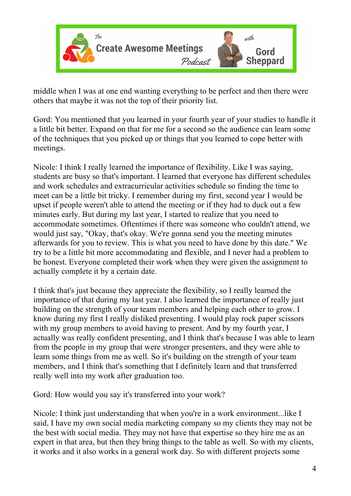

middle when I was at one end wanting everything to be perfect and then there were others that maybe it was not the top of their priority list.

Gord: You mentioned that you learned in your fourth year of your studies to handle it a little bit better. Expand on that for me for a second so the audience can learn some of the techniques that you picked up or things that you learned to cope better with meetings.

Nicole: I think I really learned the importance of flexibility. Like I was saying, students are busy so that's important. I learned that everyone has different schedules and work schedules and extracurricular activities schedule so finding the time to meet can be a little bit tricky. I remember during my first, second year I would be upset if people weren't able to attend the meeting or if they had to duck out a few minutes early. But during my last year, I started to realize that you need to accommodate sometimes. Oftentimes if there was someone who couldn't attend, we would just say, "Okay, that's okay. We're gonna send you the meeting minutes afterwards for you to review. This is what you need to have done by this date." We try to be a little bit more accommodating and flexible, and I never had a problem to be honest. Everyone completed their work when they were given the assignment to actually complete it by a certain date.

I think that's just because they appreciate the flexibility, so I really learned the importance of that during my last year. I also learned the importance of really just building on the strength of your team members and helping each other to grow. I know during my first I really disliked presenting. I would play rock paper scissors with my group members to avoid having to present. And by my fourth year, I actually was really confident presenting, and I think that's because I was able to learn from the people in my group that were stronger presenters, and they were able to learn some things from me as well. So it's building on the strength of your team members, and I think that's something that I definitely learn and that transferred really well into my work after graduation too.

Gord: How would you say it's transferred into your work?

Nicole: I think just understanding that when you're in a work environment...like I said, I have my own social media marketing company so my clients they may not be the best with social media. They may not have that expertise so they hire me as an expert in that area, but then they bring things to the table as well. So with my clients, it works and it also works in a general work day. So with different projects some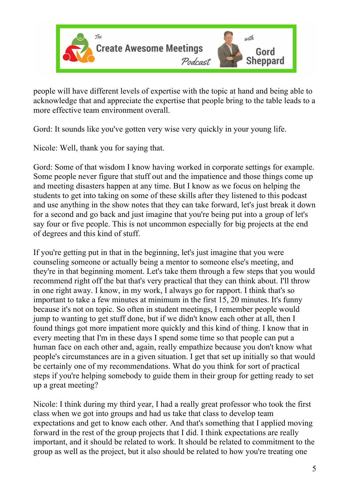

people will have different levels of expertise with the topic at hand and being able to acknowledge that and appreciate the expertise that people bring to the table leads to a more effective team environment overall.

Gord: It sounds like you've gotten very wise very quickly in your young life.

Nicole: Well, thank you for saying that.

Gord: Some of that wisdom I know having worked in corporate settings for example. Some people never figure that stuff out and the impatience and those things come up and meeting disasters happen at any time. But I know as we focus on helping the students to get into taking on some of these skills after they listened to this podcast and use anything in the show notes that they can take forward, let's just break it down for a second and go back and just imagine that you're being put into a group of let's say four or five people. This is not uncommon especially for big projects at the end of degrees and this kind of stuff.

If you're getting put in that in the beginning, let's just imagine that you were counseling someone or actually being a mentor to someone else's meeting, and they're in that beginning moment. Let's take them through a few steps that you would recommend right off the bat that's very practical that they can think about. I'll throw in one right away. I know, in my work, I always go for rapport. I think that's so important to take a few minutes at minimum in the first 15, 20 minutes. It's funny because it's not on topic. So often in student meetings, I remember people would jump to wanting to get stuff done, but if we didn't know each other at all, then I found things got more impatient more quickly and this kind of thing. I know that in every meeting that I'm in these days I spend some time so that people can put a human face on each other and, again, really empathize because you don't know what people's circumstances are in a given situation. I get that set up initially so that would be certainly one of my recommendations. What do you think for sort of practical steps if you're helping somebody to guide them in their group for getting ready to set up a great meeting?

Nicole: I think during my third year, I had a really great professor who took the first class when we got into groups and had us take that class to develop team expectations and get to know each other. And that's something that I applied moving forward in the rest of the group projects that I did. I think expectations are really important, and it should be related to work. It should be related to commitment to the group as well as the project, but it also should be related to how you're treating one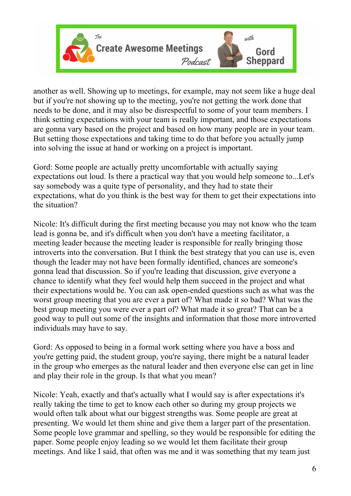

another as well. Showing up to meetings, for example, may not seem like a huge deal but if you're not showing up to the meeting, you're not getting the work done that needs to be done, and it may also be disrespectful to some of your team members. I think setting expectations with your team is really important, and those expectations are gonna vary based on the project and based on how many people are in your team. But setting those expectations and taking time to do that before you actually jump into solving the issue at hand or working on a project is important.

Gord: Some people are actually pretty uncomfortable with actually saying expectations out loud. Is there a practical way that you would help someone to...Let's say somebody was a quite type of personality, and they had to state their expectations, what do you think is the best way for them to get their expectations into the situation?

Nicole: It's difficult during the first meeting because you may not know who the team lead is gonna be, and it's difficult when you don't have a meeting facilitator, a meeting leader because the meeting leader is responsible for really bringing those introverts into the conversation. But I think the best strategy that you can use is, even though the leader may not have been formally identified, chances are someone's gonna lead that discussion. So if you're leading that discussion, give everyone a chance to identify what they feel would help them succeed in the project and what their expectations would be. You can ask open-ended questions such as what was the worst group meeting that you are ever a part of? What made it so bad? What was the best group meeting you were ever a part of? What made it so great? That can be a good way to pull out some of the insights and information that those more introverted individuals may have to say.

Gord: As opposed to being in a formal work setting where you have a boss and you're getting paid, the student group, you're saying, there might be a natural leader in the group who emerges as the natural leader and then everyone else can get in line and play their role in the group. Is that what you mean?

Nicole: Yeah, exactly and that's actually what I would say is after expectations it's really taking the time to get to know each other so during my group projects we would often talk about what our biggest strengths was. Some people are great at presenting. We would let them shine and give them a larger part of the presentation. Some people love grammar and spelling, so they would be responsible for editing the paper. Some people enjoy leading so we would let them facilitate their group meetings. And like I said, that often was me and it was something that my team just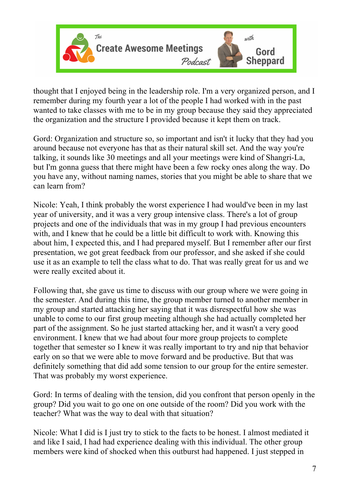

thought that I enjoyed being in the leadership role. I'm a very organized person, and I remember during my fourth year a lot of the people I had worked with in the past wanted to take classes with me to be in my group because they said they appreciated the organization and the structure I provided because it kept them on track.

Gord: Organization and structure so, so important and isn't it lucky that they had you around because not everyone has that as their natural skill set. And the way you're talking, it sounds like 30 meetings and all your meetings were kind of Shangri-La, but I'm gonna guess that there might have been a few rocky ones along the way. Do you have any, without naming names, stories that you might be able to share that we can learn from?

Nicole: Yeah, I think probably the worst experience I had would've been in my last year of university, and it was a very group intensive class. There's a lot of group projects and one of the individuals that was in my group I had previous encounters with, and I knew that he could be a little bit difficult to work with. Knowing this about him, I expected this, and I had prepared myself. But I remember after our first presentation, we got great feedback from our professor, and she asked if she could use it as an example to tell the class what to do. That was really great for us and we were really excited about it.

Following that, she gave us time to discuss with our group where we were going in the semester. And during this time, the group member turned to another member in my group and started attacking her saying that it was disrespectful how she was unable to come to our first group meeting although she had actually completed her part of the assignment. So he just started attacking her, and it wasn't a very good environment. I knew that we had about four more group projects to complete together that semester so I knew it was really important to try and nip that behavior early on so that we were able to move forward and be productive. But that was definitely something that did add some tension to our group for the entire semester. That was probably my worst experience.

Gord: In terms of dealing with the tension, did you confront that person openly in the group? Did you wait to go one on one outside of the room? Did you work with the teacher? What was the way to deal with that situation?

Nicole: What I did is I just try to stick to the facts to be honest. I almost mediated it and like I said, I had had experience dealing with this individual. The other group members were kind of shocked when this outburst had happened. I just stepped in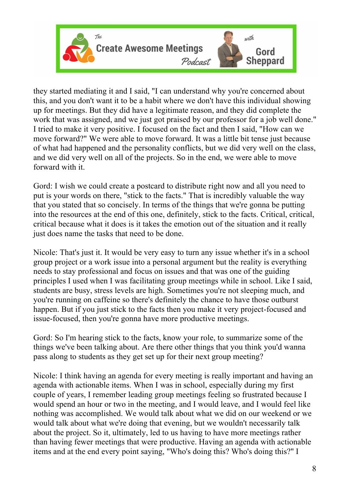

they started mediating it and I said, "I can understand why you're concerned about this, and you don't want it to be a habit where we don't have this individual showing up for meetings. But they did have a legitimate reason, and they did complete the work that was assigned, and we just got praised by our professor for a job well done." I tried to make it very positive. I focused on the fact and then I said, "How can we move forward?" We were able to move forward. It was a little bit tense just because of what had happened and the personality conflicts, but we did very well on the class, and we did very well on all of the projects. So in the end, we were able to move forward with it.

Gord: I wish we could create a postcard to distribute right now and all you need to put is your words on there, "stick to the facts." That is incredibly valuable the way that you stated that so concisely. In terms of the things that we're gonna be putting into the resources at the end of this one, definitely, stick to the facts. Critical, critical, critical because what it does is it takes the emotion out of the situation and it really just does name the tasks that need to be done.

Nicole: That's just it. It would be very easy to turn any issue whether it's in a school group project or a work issue into a personal argument but the reality is everything needs to stay professional and focus on issues and that was one of the guiding principles I used when I was facilitating group meetings while in school. Like I said, students are busy, stress levels are high. Sometimes you're not sleeping much, and you're running on caffeine so there's definitely the chance to have those outburst happen. But if you just stick to the facts then you make it very project-focused and issue-focused, then you're gonna have more productive meetings.

Gord: So I'm hearing stick to the facts, know your role, to summarize some of the things we've been talking about. Are there other things that you think you'd wanna pass along to students as they get set up for their next group meeting?

Nicole: I think having an agenda for every meeting is really important and having an agenda with actionable items. When I was in school, especially during my first couple of years, I remember leading group meetings feeling so frustrated because I would spend an hour or two in the meeting, and I would leave, and I would feel like nothing was accomplished. We would talk about what we did on our weekend or we would talk about what we're doing that evening, but we wouldn't necessarily talk about the project. So it, ultimately, led to us having to have more meetings rather than having fewer meetings that were productive. Having an agenda with actionable items and at the end every point saying, "Who's doing this? Who's doing this?" I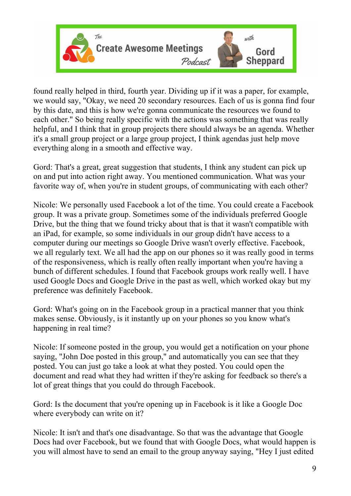

found really helped in third, fourth year. Dividing up if it was a paper, for example, we would say, "Okay, we need 20 secondary resources. Each of us is gonna find four by this date, and this is how we're gonna communicate the resources we found to each other." So being really specific with the actions was something that was really helpful, and I think that in group projects there should always be an agenda. Whether it's a small group project or a large group project, I think agendas just help move everything along in a smooth and effective way.

Gord: That's a great, great suggestion that students, I think any student can pick up on and put into action right away. You mentioned communication. What was your favorite way of, when you're in student groups, of communicating with each other?

Nicole: We personally used Facebook a lot of the time. You could create a Facebook group. It was a private group. Sometimes some of the individuals preferred Google Drive, but the thing that we found tricky about that is that it wasn't compatible with an iPad, for example, so some individuals in our group didn't have access to a computer during our meetings so Google Drive wasn't overly effective. Facebook, we all regularly text. We all had the app on our phones so it was really good in terms of the responsiveness, which is really often really important when you're having a bunch of different schedules. I found that Facebook groups work really well. I have used Google Docs and Google Drive in the past as well, which worked okay but my preference was definitely Facebook.

Gord: What's going on in the Facebook group in a practical manner that you think makes sense. Obviously, is it instantly up on your phones so you know what's happening in real time?

Nicole: If someone posted in the group, you would get a notification on your phone saying, "John Doe posted in this group," and automatically you can see that they posted. You can just go take a look at what they posted. You could open the document and read what they had written if they're asking for feedback so there's a lot of great things that you could do through Facebook.

Gord: Is the document that you're opening up in Facebook is it like a Google Doc where everybody can write on it?

Nicole: It isn't and that's one disadvantage. So that was the advantage that Google Docs had over Facebook, but we found that with Google Docs, what would happen is you will almost have to send an email to the group anyway saying, "Hey I just edited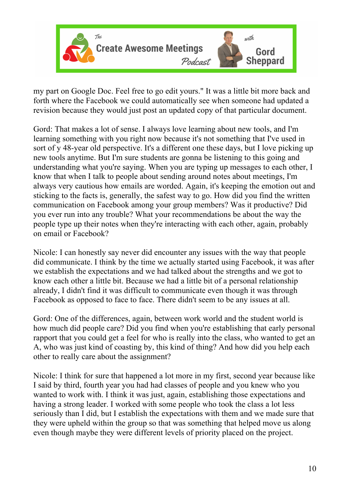

my part on Google Doc. Feel free to go edit yours." It was a little bit more back and forth where the Facebook we could automatically see when someone had updated a revision because they would just post an updated copy of that particular document.

Gord: That makes a lot of sense. I always love learning about new tools, and I'm learning something with you right now because it's not something that I've used in sort of y 48-year old perspective. It's a different one these days, but I love picking up new tools anytime. But I'm sure students are gonna be listening to this going and understanding what you're saying. When you are typing up messages to each other, I know that when I talk to people about sending around notes about meetings, I'm always very cautious how emails are worded. Again, it's keeping the emotion out and sticking to the facts is, generally, the safest way to go. How did you find the written communication on Facebook among your group members? Was it productive? Did you ever run into any trouble? What your recommendations be about the way the people type up their notes when they're interacting with each other, again, probably on email or Facebook?

Nicole: I can honestly say never did encounter any issues with the way that people did communicate. I think by the time we actually started using Facebook, it was after we establish the expectations and we had talked about the strengths and we got to know each other a little bit. Because we had a little bit of a personal relationship already, I didn't find it was difficult to communicate even though it was through Facebook as opposed to face to face. There didn't seem to be any issues at all.

Gord: One of the differences, again, between work world and the student world is how much did people care? Did you find when you're establishing that early personal rapport that you could get a feel for who is really into the class, who wanted to get an A, who was just kind of coasting by, this kind of thing? And how did you help each other to really care about the assignment?

Nicole: I think for sure that happened a lot more in my first, second year because like I said by third, fourth year you had had classes of people and you knew who you wanted to work with. I think it was just, again, establishing those expectations and having a strong leader. I worked with some people who took the class a lot less seriously than I did, but I establish the expectations with them and we made sure that they were upheld within the group so that was something that helped move us along even though maybe they were different levels of priority placed on the project.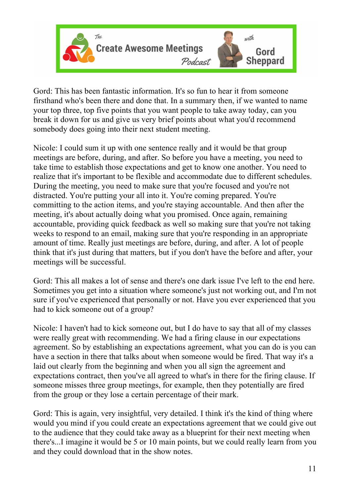

Gord: This has been fantastic information. It's so fun to hear it from someone firsthand who's been there and done that. In a summary then, if we wanted to name your top three, top five points that you want people to take away today, can you break it down for us and give us very brief points about what you'd recommend somebody does going into their next student meeting.

Nicole: I could sum it up with one sentence really and it would be that group meetings are before, during, and after. So before you have a meeting, you need to take time to establish those expectations and get to know one another. You need to realize that it's important to be flexible and accommodate due to different schedules. During the meeting, you need to make sure that you're focused and you're not distracted. You're putting your all into it. You're coming prepared. You're committing to the action items, and you're staying accountable. And then after the meeting, it's about actually doing what you promised. Once again, remaining accountable, providing quick feedback as well so making sure that you're not taking weeks to respond to an email, making sure that you're responding in an appropriate amount of time. Really just meetings are before, during, and after. A lot of people think that it's just during that matters, but if you don't have the before and after, your meetings will be successful.

Gord: This all makes a lot of sense and there's one dark issue I've left to the end here. Sometimes you get into a situation where someone's just not working out, and I'm not sure if you've experienced that personally or not. Have you ever experienced that you had to kick someone out of a group?

Nicole: I haven't had to kick someone out, but I do have to say that all of my classes were really great with recommending. We had a firing clause in our expectations agreement. So by establishing an expectations agreement, what you can do is you can have a section in there that talks about when someone would be fired. That way it's a laid out clearly from the beginning and when you all sign the agreement and expectations contract, then you've all agreed to what's in there for the firing clause. If someone misses three group meetings, for example, then they potentially are fired from the group or they lose a certain percentage of their mark.

Gord: This is again, very insightful, very detailed. I think it's the kind of thing where would you mind if you could create an expectations agreement that we could give out to the audience that they could take away as a blueprint for their next meeting when there's...I imagine it would be 5 or 10 main points, but we could really learn from you and they could download that in the show notes.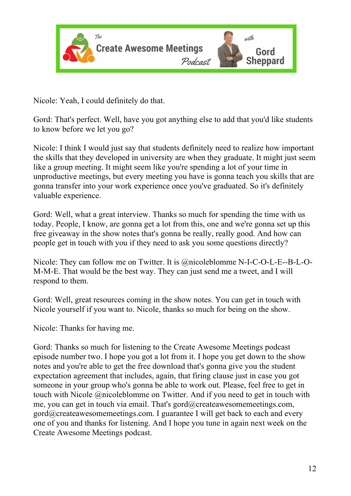

Nicole: Yeah, I could definitely do that.

Gord: That's perfect. Well, have you got anything else to add that you'd like students to know before we let you go?

Nicole: I think I would just say that students definitely need to realize how important the skills that they developed in university are when they graduate. It might just seem like a group meeting. It might seem like you're spending a lot of your time in unproductive meetings, but every meeting you have is gonna teach you skills that are gonna transfer into your work experience once you've graduated. So it's definitely valuable experience.

Gord: Well, what a great interview. Thanks so much for spending the time with us today. People, I know, are gonna get a lot from this, one and we're gonna set up this free giveaway in the show notes that's gonna be really, really good. And how can people get in touch with you if they need to ask you some questions directly?

Nicole: They can follow me on Twitter. It is @nicoleblomme N-I-C-O-L-E--B-L-O-M-M-E. That would be the best way. They can just send me a tweet, and I will respond to them.

Gord: Well, great resources coming in the show notes. You can get in touch with Nicole yourself if you want to. Nicole, thanks so much for being on the show.

Nicole: Thanks for having me.

Gord: Thanks so much for listening to the Create Awesome Meetings podcast episode number two. I hope you got a lot from it. I hope you get down to the show notes and you're able to get the free download that's gonna give you the student expectation agreement that includes, again, that firing clause just in case you got someone in your group who's gonna be able to work out. Please, feel free to get in touch with Nicole @nicoleblomme on Twitter. And if you need to get in touch with me, you can get in touch via email. That's gord@createawesomemeetings.com, gord@createawesomemeetings.com. I guarantee I will get back to each and every one of you and thanks for listening. And I hope you tune in again next week on the Create Awesome Meetings podcast.